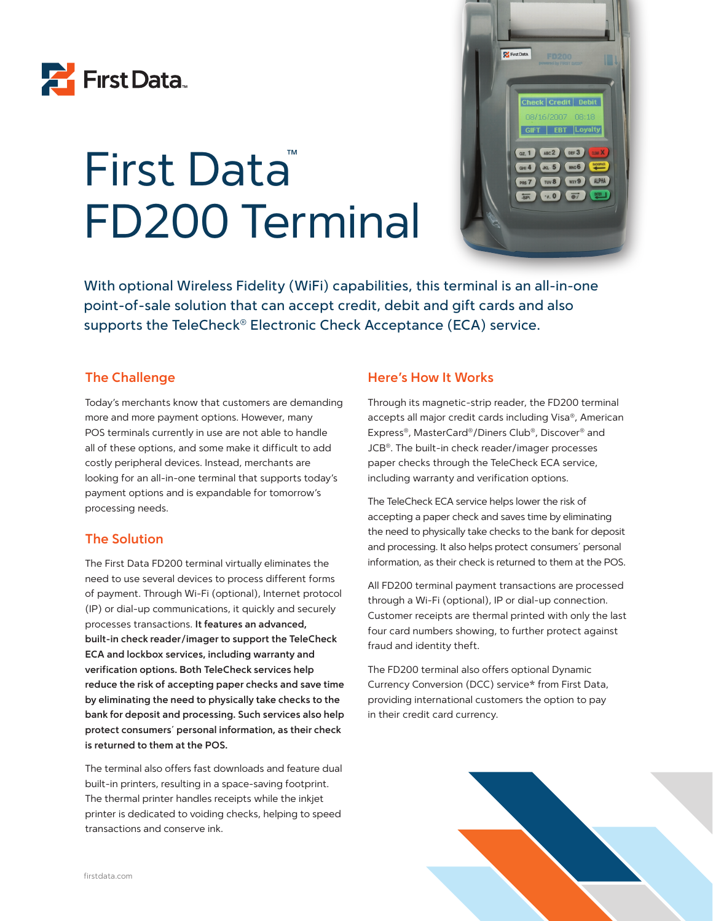

# First Data FD200 Terminal



With optional Wireless Fidelity (WiFi) capabilities, this terminal is an all-in-one point-of-sale solution that can accept credit, debit and gift cards and also supports the TeleCheck<sup>®</sup> Electronic Check Acceptance (ECA) service.

#### **The Challenge**

Today's merchants know that customers are demanding more and more payment options. However, many POS terminals currently in use are not able to handle all of these options, and some make it difficult to add costly peripheral devices. Instead, merchants are looking for an all-in-one terminal that supports today's payment options and is expandable for tomorrow's processing needs.

#### **The Solution**

The First Data FD200 terminal virtually eliminates the need to use several devices to process different forms of payment. Through Wi-Fi (optional), Internet protocol (IP) or dial-up communications, it quickly and securely processes transactions. **It features an advanced, built-in check reader/imager to support the TeleCheck ECA and lockbox services, including warranty and verification options. Both TeleCheck services help reduce the risk of accepting paper checks and save time by eliminating the need to physically take checks to the bank for deposit and processing. Such services also help protect consumers´ personal information, as their check is returned to them at the POS.** 

The terminal also offers fast downloads and feature dual built-in printers, resulting in a space-saving footprint. The thermal printer handles receipts while the inkjet printer is dedicated to voiding checks, helping to speed transactions and conserve ink.

#### **Here's How It Works**

Through its magnetic-strip reader, the FD200 terminal accepts all major credit cards including Visa®, American Express®, MasterCard®/Diners Club®, Discover® and JCB®. The built-in check reader/imager processes paper checks through the TeleCheck ECA service, including warranty and verification options.

The TeleCheck ECA service helps lower the risk of accepting a paper check and saves time by eliminating the need to physically take checks to the bank for deposit and processing. It also helps protect consumers´ personal information, as their check is returned to them at the POS.

All FD200 terminal payment transactions are processed through a Wi-Fi (optional), IP or dial-up connection. Customer receipts are thermal printed with only the last four card numbers showing, to further protect against fraud and identity theft.

The FD200 terminal also offers optional Dynamic Currency Conversion (DCC) service\* from First Data, providing international customers the option to pay in their credit card currency.